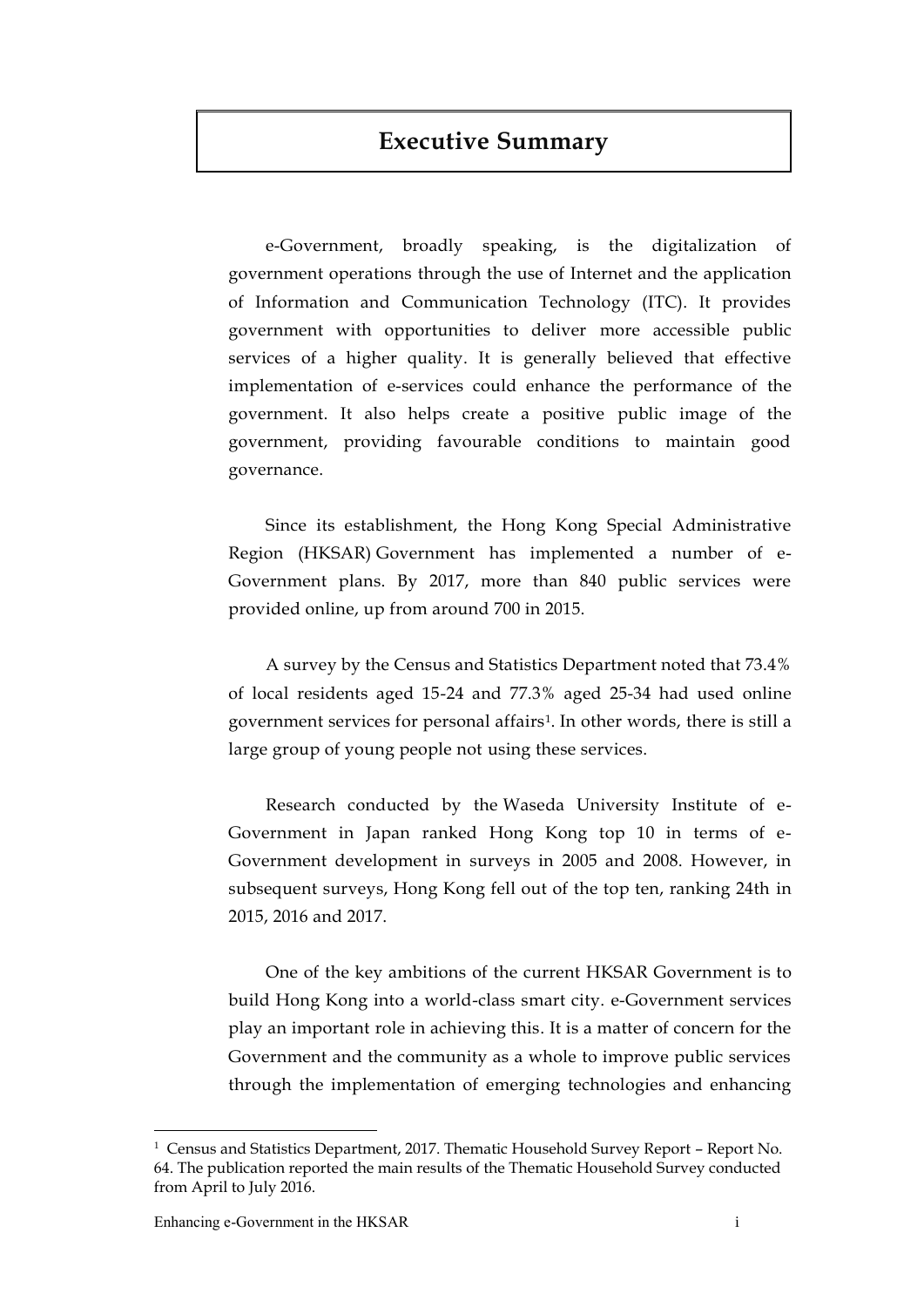# **Executive Summary**

e-Government, broadly speaking, is the digitalization of government operations through the use of Internet and the application of Information and Communication Technology (ITC). It provides government with opportunities to deliver more accessible public services of a higher quality. It is generally believed that effective implementation of e-services could enhance the performance of the government. It also helps create a positive public image of the government, providing favourable conditions to maintain good governance.

Since its establishment, the Hong Kong Special Administrative Region (HKSAR) Government has implemented a number of e-Government plans. By 2017, more than 840 public services were provided online, up from around 700 in 2015.

A survey by the Census and Statistics Department noted that 73.4% of local residents aged 15-24 and 77.3% aged 25-34 had used online government services for personal affairs1. In other words, there is still a large group of young people not using these services.

Research conducted by the Waseda University Institute of e-Government in Japan ranked Hong Kong top 10 in terms of e-Government development in surveys in 2005 and 2008. However, in subsequent surveys, Hong Kong fell out of the top ten, ranking 24th in 2015, 2016 and 2017.

One of the key ambitions of the current HKSAR Government is to build Hong Kong into a world-class smart city. e-Government services play an important role in achieving this. It is a matter of concern for the Government and the community as a whole to improve public services through the implementation of emerging technologies and enhancing

 $\overline{a}$ 

<sup>1</sup> Census and Statistics Department, 2017. Thematic Household Survey Report – Report No. 64. The publication reported the main results of the Thematic Household Survey conducted from April to July 2016.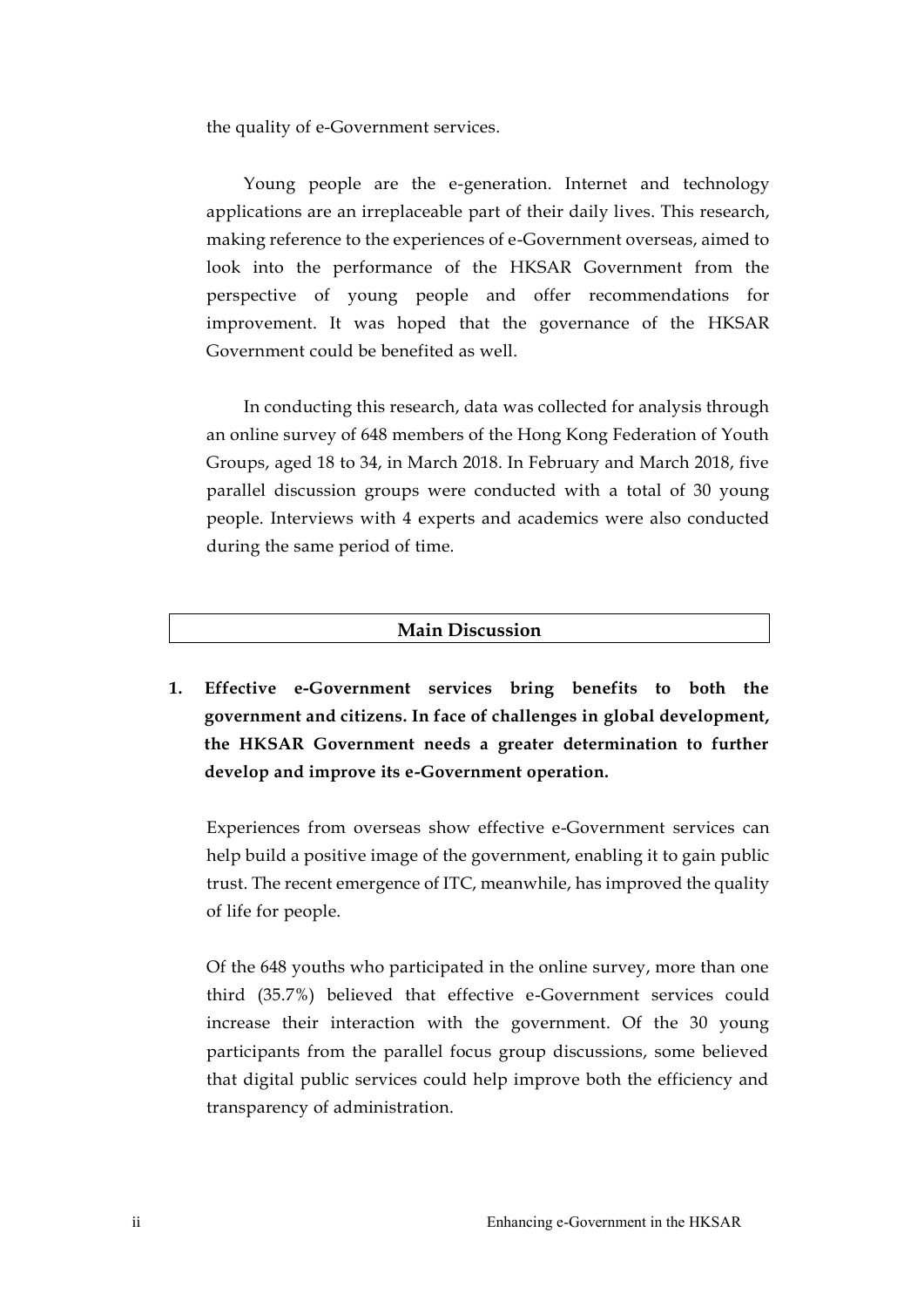the quality of e-Government services.

Young people are the e-generation. Internet and technology applications are an irreplaceable part of their daily lives. This research, making reference to the experiences of e-Government overseas, aimed to look into the performance of the HKSAR Government from the perspective of young people and offer recommendations for improvement. It was hoped that the governance of the HKSAR Government could be benefited as well.

In conducting this research, data was collected for analysis through an online survey of 648 members of the Hong Kong Federation of Youth Groups, aged 18 to 34, in March 2018. In February and March 2018, five parallel discussion groups were conducted with a total of 30 young people. Interviews with 4 experts and academics were also conducted during the same period of time.

### **Main Discussion**

**1. Effective e-Government services bring benefits to both the government and citizens. In face of challenges in global development, the HKSAR Government needs a greater determination to further develop and improve its e-Government operation.** 

Experiences from overseas show effective e-Government services can help build a positive image of the government, enabling it to gain public trust. The recent emergence of ITC, meanwhile, has improved the quality of life for people.

Of the 648 youths who participated in the online survey, more than one third (35.7%) believed that effective e-Government services could increase their interaction with the government. Of the 30 young participants from the parallel focus group discussions, some believed that digital public services could help improve both the efficiency and transparency of administration.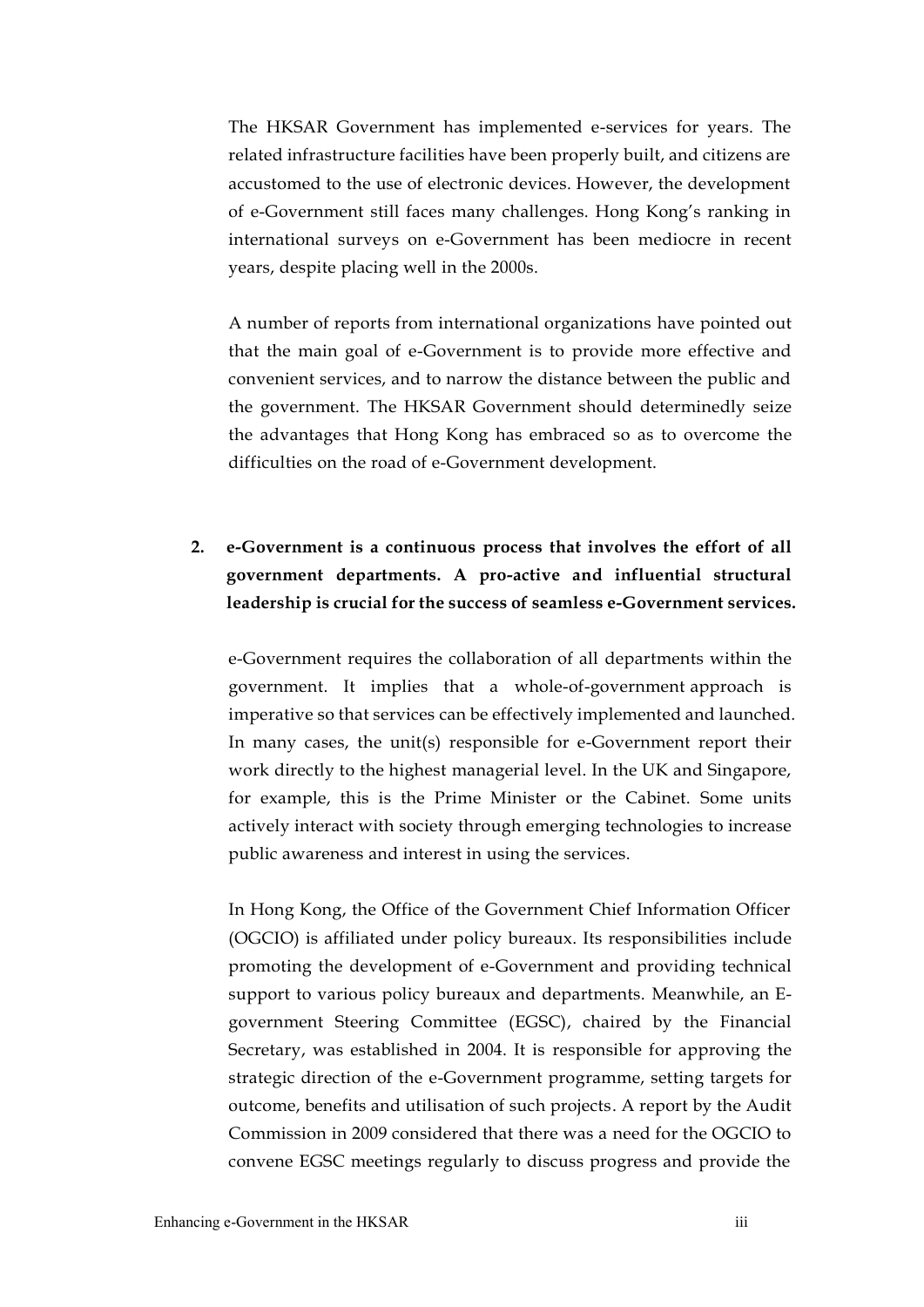The HKSAR Government has implemented e-services for years. The related infrastructure facilities have been properly built, and citizens are accustomed to the use of electronic devices. However, the development of e-Government still faces many challenges. Hong Kong's ranking in international surveys on e-Government has been mediocre in recent years, despite placing well in the 2000s.

A number of reports from international organizations have pointed out that the main goal of e-Government is to provide more effective and convenient services, and to narrow the distance between the public and the government. The HKSAR Government should determinedly seize the advantages that Hong Kong has embraced so as to overcome the difficulties on the road of e-Government development.

# **2. e-Government is a continuous process that involves the effort of all government departments. A pro-active and influential structural leadership is crucial for the success of seamless e-Government services.**

e-Government requires the collaboration of all departments within the government. It implies that a whole-of-government approach is imperative so that services can be effectively implemented and launched. In many cases, the unit(s) responsible for e-Government report their work directly to the highest managerial level. In the UK and Singapore, for example, this is the Prime Minister or the Cabinet. Some units actively interact with society through emerging technologies to increase public awareness and interest in using the services.

In Hong Kong, the Office of the Government Chief Information Officer (OGCIO) is affiliated under policy bureaux. Its responsibilities include promoting the development of e-Government and providing technical support to various policy bureaux and departments. Meanwhile, an Egovernment Steering Committee (EGSC), chaired by the Financial Secretary, was established in 2004. It is responsible for approving the strategic direction of the e-Government programme, setting targets for outcome, benefits and utilisation of such projects. A report by the Audit Commission in 2009 considered that there was a need for the OGCIO to convene EGSC meetings regularly to discuss progress and provide the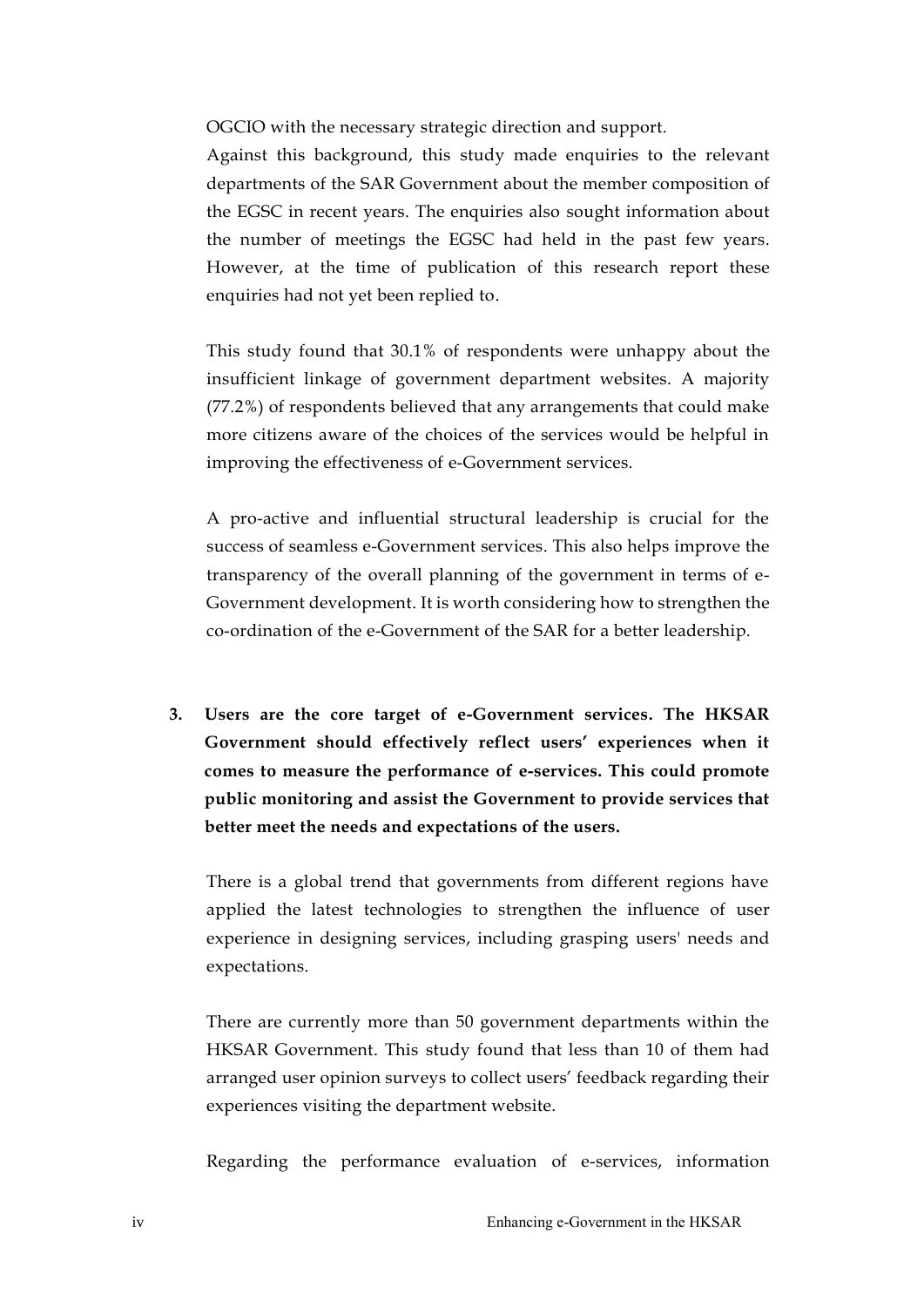OGCIO with the necessary strategic direction and support.

Against this background, this study made enquiries to the relevant departments of the SAR Government about the member composition of the EGSC in recent years. The enquiries also sought information about the number of meetings the EGSC had held in the past few years. However, at the time of publication of this research report these enquiries had not yet been replied to.

This study found that 30.1% of respondents were unhappy about the insufficient linkage of government department websites. A majority (77.2%) of respondents believed that any arrangements that could make more citizens aware of the choices of the services would be helpful in improving the effectiveness of e-Government services.

A pro-active and influential structural leadership is crucial for the success of seamless e-Government services. This also helps improve the transparency of the overall planning of the government in terms of e-Government development. It is worth considering how to strengthen the co-ordination of the e-Government of the SAR for a better leadership.

**3. Users are the core target of e-Government services. The HKSAR Government should effectively reflect users' experiences when it comes to measure the performance of e-services. This could promote public monitoring and assist the Government to provide services that better meet the needs and expectations of the users.** 

There is a global trend that governments from different regions have applied the latest technologies to strengthen the influence of user experience in designing services, including grasping users' needs and expectations.

There are currently more than 50 government departments within the HKSAR Government. This study found that less than 10 of them had arranged user opinion surveys to collect users' feedback regarding their experiences visiting the department website.

Regarding the performance evaluation of e-services, information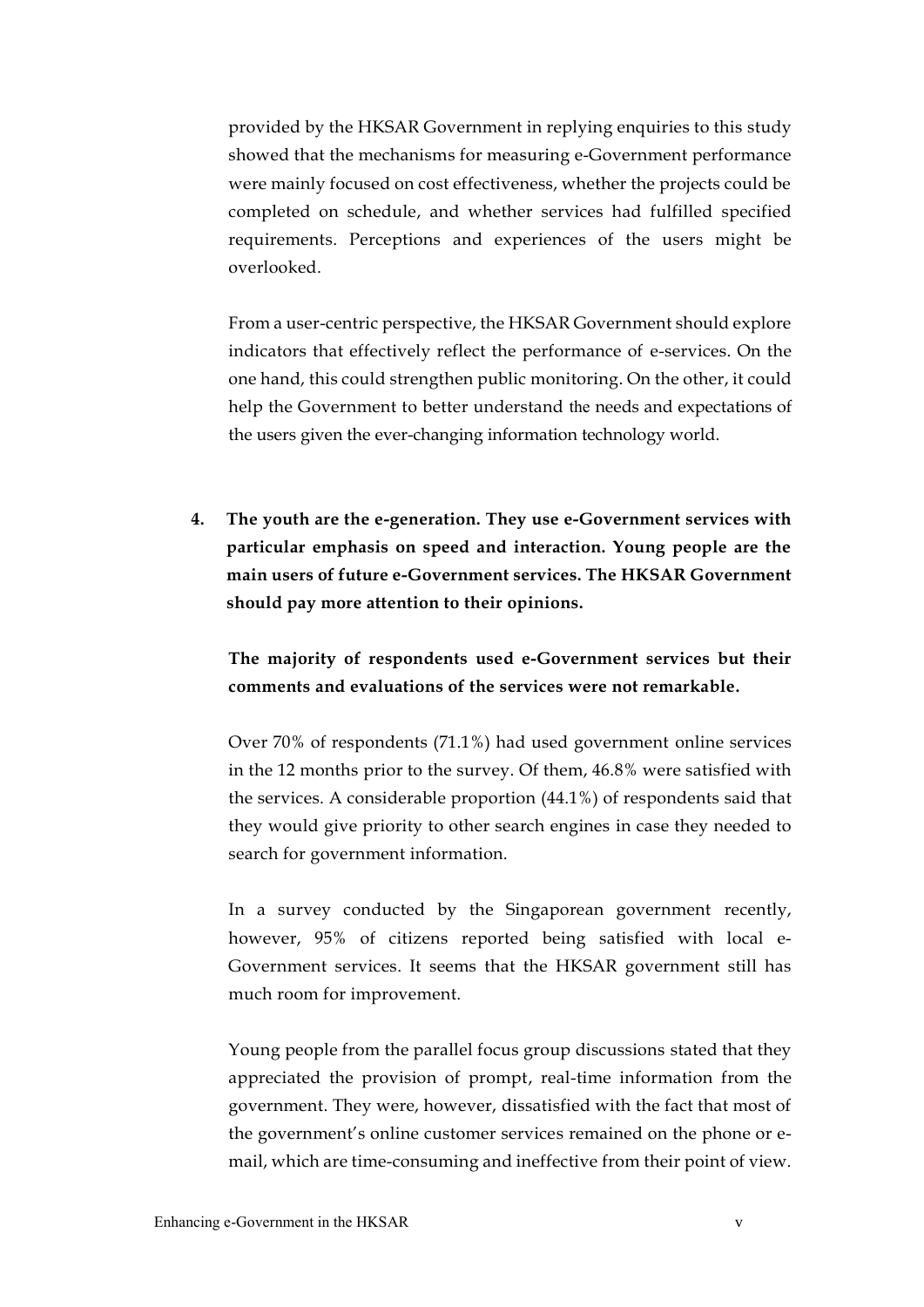provided by the HKSAR Government in replying enquiries to this study showed that the mechanisms for measuring e-Government performance were mainly focused on cost effectiveness, whether the projects could be completed on schedule, and whether services had fulfilled specified requirements. Perceptions and experiences of the users might be overlooked.

From a user-centric perspective, the HKSAR Government should explore indicators that effectively reflect the performance of e-services. On the one hand, this could strengthen public monitoring. On the other, it could help the Government to better understand the needs and expectations of the users given the ever-changing information technology world.

**4. The youth are the e-generation. They use e-Government services with particular emphasis on speed and interaction. Young people are the main users of future e-Government services. The HKSAR Government should pay more attention to their opinions.**

**The majority of respondents used e-Government services but their comments and evaluations of the services were not remarkable.**

Over 70% of respondents (71.1%) had used government online services in the 12 months prior to the survey. Of them, 46.8% were satisfied with the services. A considerable proportion (44.1%) of respondents said that they would give priority to other search engines in case they needed to search for government information.

In a survey conducted by the Singaporean government recently, however, 95% of citizens reported being satisfied with local e-Government services. It seems that the HKSAR government still has much room for improvement.

Young people from the parallel focus group discussions stated that they appreciated the provision of prompt, real-time information from the government. They were, however, dissatisfied with the fact that most of the government's online customer services remained on the phone or email, which are time-consuming and ineffective from their point of view.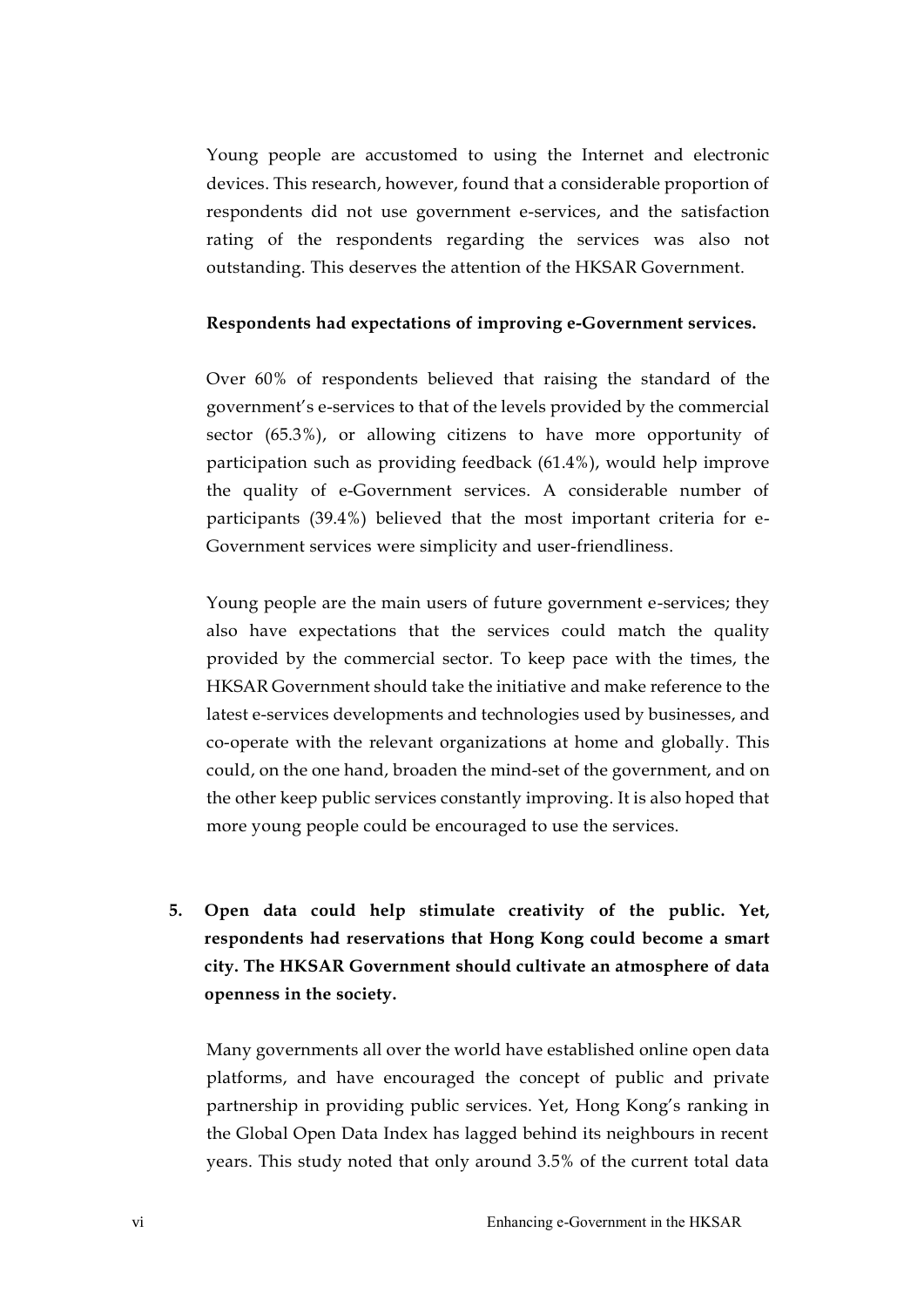Young people are accustomed to using the Internet and electronic devices. This research, however, found that a considerable proportion of respondents did not use government e-services, and the satisfaction rating of the respondents regarding the services was also not outstanding. This deserves the attention of the HKSAR Government.

#### **Respondents had expectations of improving e-Government services.**

Over 60% of respondents believed that raising the standard of the government's e-services to that of the levels provided by the commercial sector (65.3%), or allowing citizens to have more opportunity of participation such as providing feedback (61.4%), would help improve the quality of e-Government services. A considerable number of participants (39.4%) believed that the most important criteria for e-Government services were simplicity and user-friendliness.

Young people are the main users of future government e-services; they also have expectations that the services could match the quality provided by the commercial sector. To keep pace with the times, the HKSAR Government should take the initiative and make reference to the latest e-services developments and technologies used by businesses, and co-operate with the relevant organizations at home and globally. This could, on the one hand, broaden the mind-set of the government, and on the other keep public services constantly improving. It is also hoped that more young people could be encouraged to use the services.

**5. Open data could help stimulate creativity of the public. Yet, respondents had reservations that Hong Kong could become a smart city. The HKSAR Government should cultivate an atmosphere of data openness in the society.**

Many governments all over the world have established online open data platforms, and have encouraged the concept of public and private partnership in providing public services. Yet, Hong Kong's ranking in the Global Open Data Index has lagged behind its neighbours in recent years. This study noted that only around 3.5% of the current total data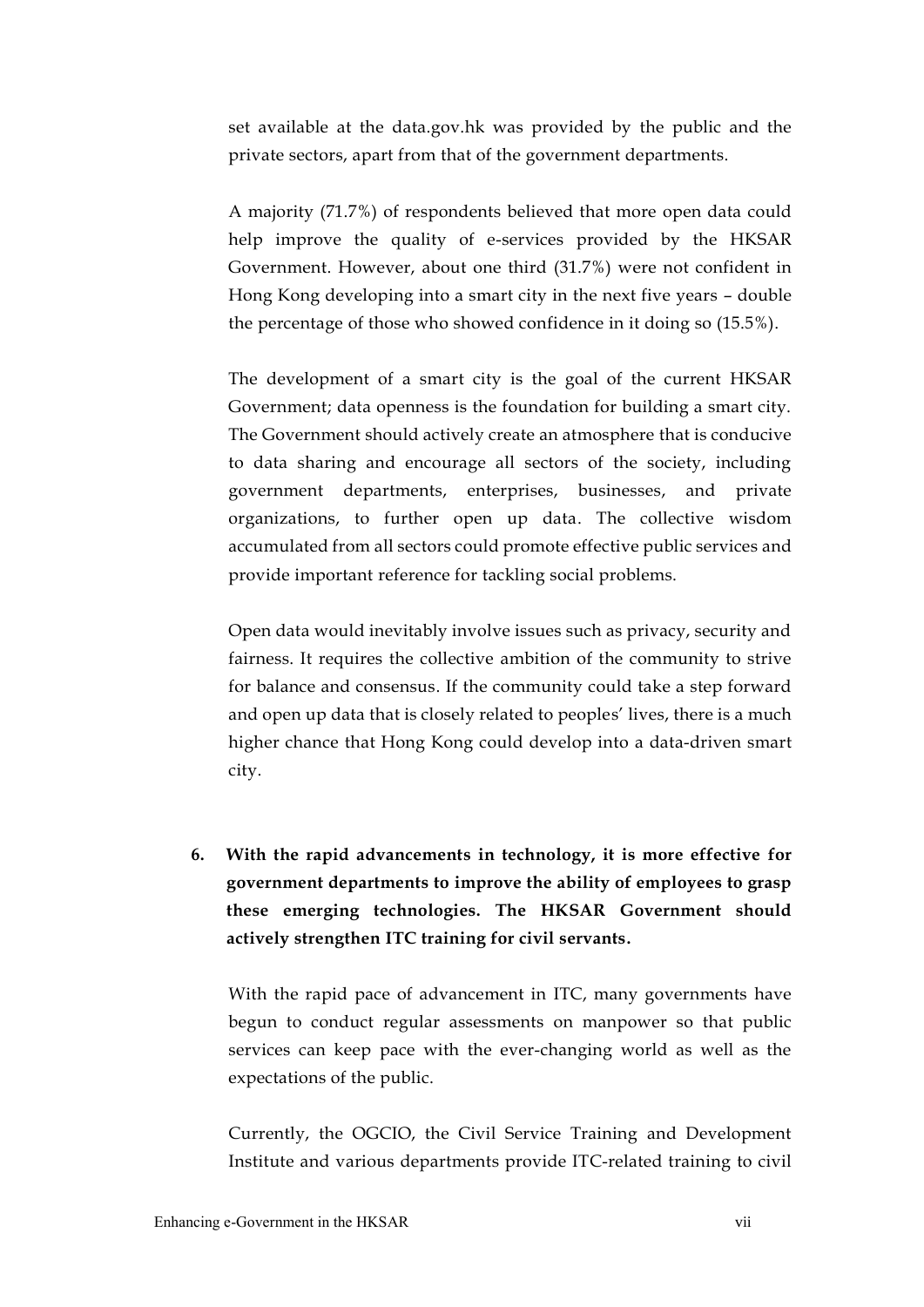set available at the data.gov.hk was provided by the public and the private sectors, apart from that of the government departments.

A majority (71.7%) of respondents believed that more open data could help improve the quality of e-services provided by the HKSAR Government. However, about one third (31.7%) were not confident in Hong Kong developing into a smart city in the next five years – double the percentage of those who showed confidence in it doing so (15.5%).

The development of a smart city is the goal of the current HKSAR Government; data openness is the foundation for building a smart city. The Government should actively create an atmosphere that is conducive to data sharing and encourage all sectors of the society, including government departments, enterprises, businesses, and private organizations, to further open up data. The collective wisdom accumulated from all sectors could promote effective public services and provide important reference for tackling social problems.

Open data would inevitably involve issues such as privacy, security and fairness. It requires the collective ambition of the community to strive for balance and consensus. If the community could take a step forward and open up data that is closely related to peoples' lives, there is a much higher chance that Hong Kong could develop into a data-driven smart city.

**6. With the rapid advancements in technology, it is more effective for government departments to improve the ability of employees to grasp these emerging technologies. The HKSAR Government should actively strengthen ITC training for civil servants.**

With the rapid pace of advancement in ITC, many governments have begun to conduct regular assessments on manpower so that public services can keep pace with the ever-changing world as well as the expectations of the public.

Currently, the OGCIO, the Civil Service Training and Development Institute and various departments provide ITC-related training to civil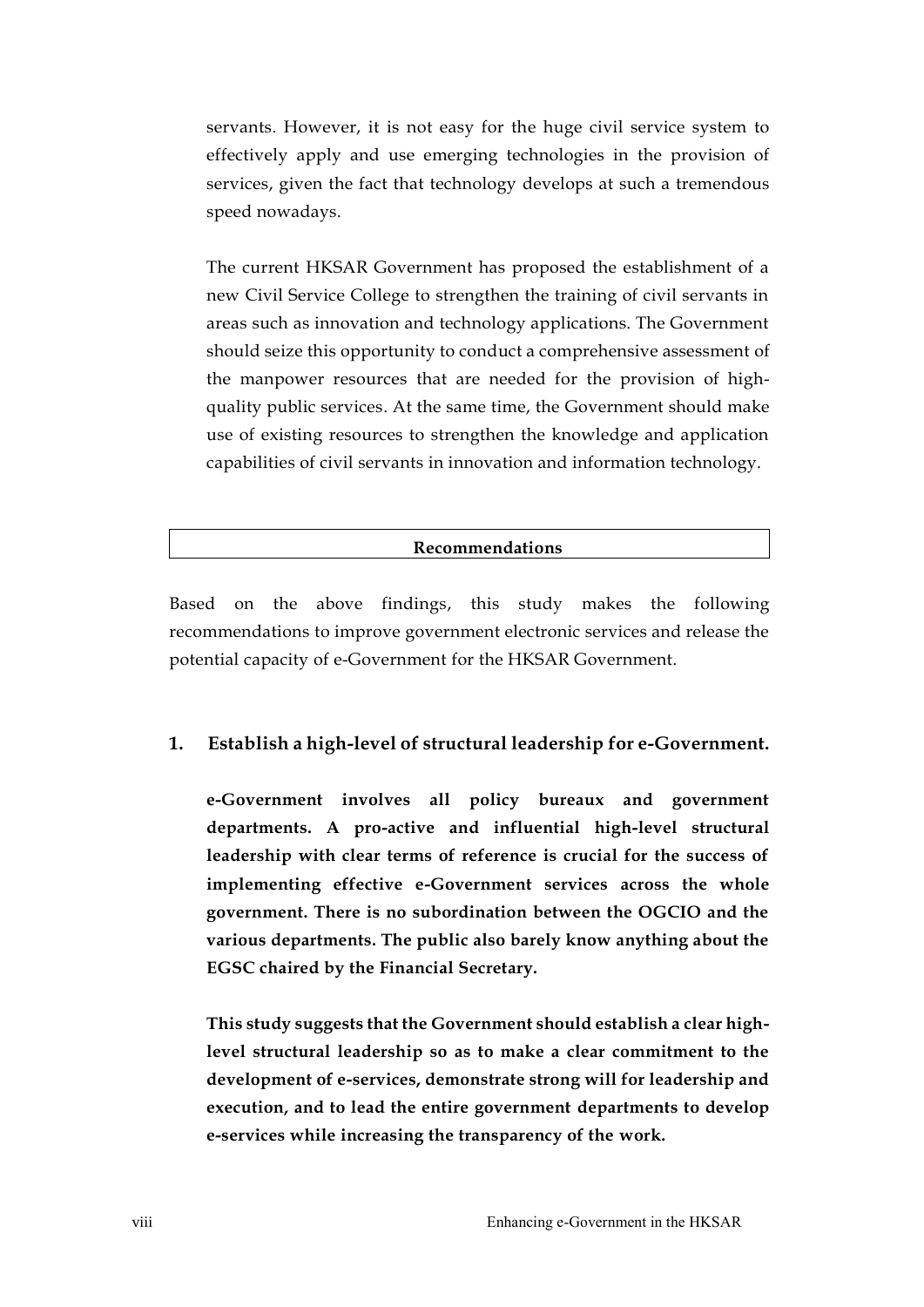servants. However, it is not easy for the huge civil service system to effectively apply and use emerging technologies in the provision of services, given the fact that technology develops at such a tremendous speed nowadays.

The current HKSAR Government has proposed the establishment of a new Civil Service College to strengthen the training of civil servants in areas such as innovation and technology applications. The Government should seize this opportunity to conduct a comprehensive assessment of the manpower resources that are needed for the provision of highquality public services. At the same time, the Government should make use of existing resources to strengthen the knowledge and application capabilities of civil servants in innovation and information technology.

### **Recommendations**

Based on the above findings, this study makes the following recommendations to improve government electronic services and release the potential capacity of e-Government for the HKSAR Government.

## **1. Establish a high-level of structural leadership for e-Government.**

**e-Government involves all policy bureaux and government departments. A pro-active and influential high-level structural leadership with clear terms of reference is crucial for the success of implementing effective e-Government services across the whole government. There is no subordination between the OGCIO and the various departments. The public also barely know anything about the EGSC chaired by the Financial Secretary.**

**This study suggests that the Government should establish a clear highlevel structural leadership so as to make a clear commitment to the development of e-services, demonstrate strong will for leadership and execution, and to lead the entire government departments to develop e-services while increasing the transparency of the work.**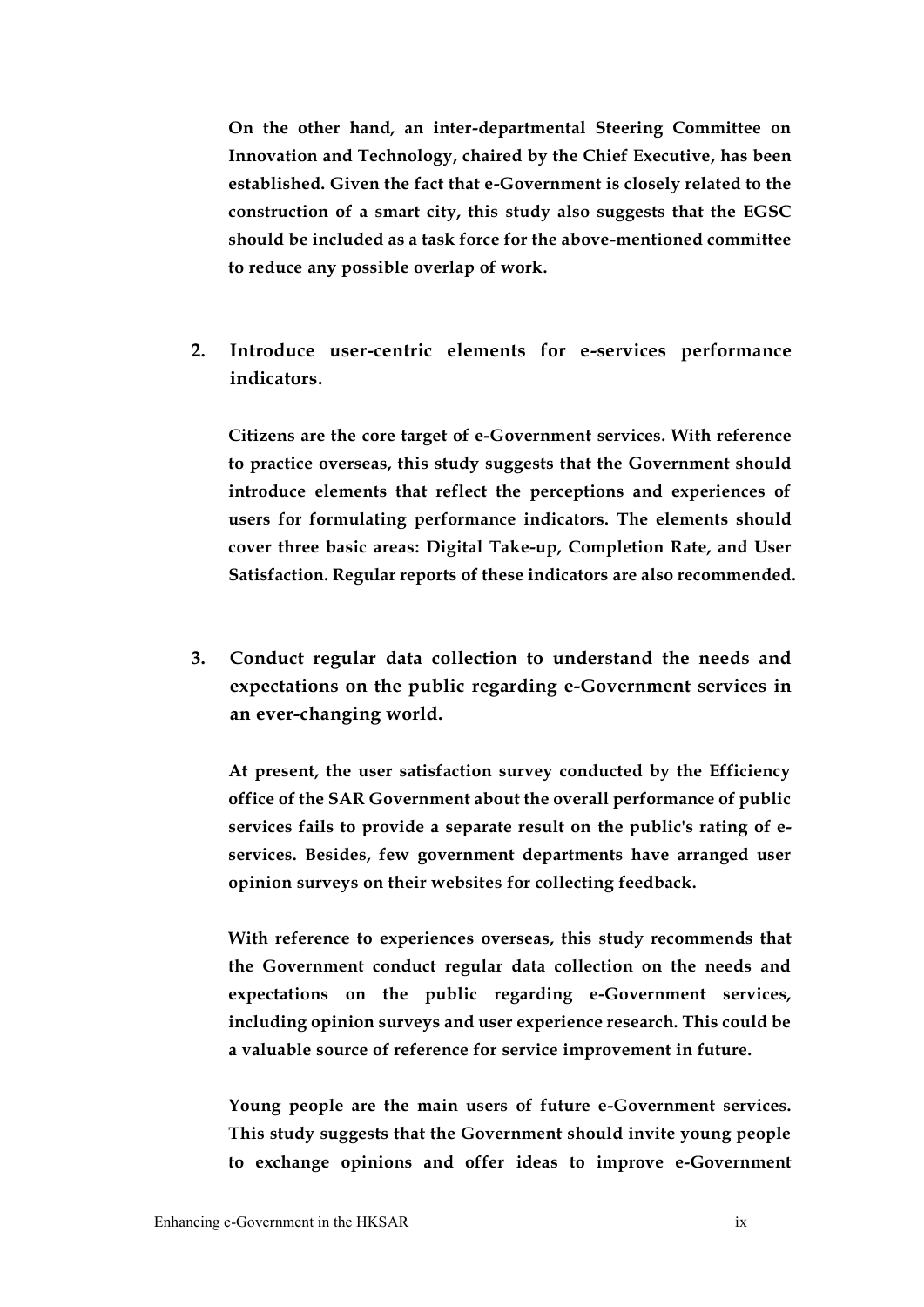**On the other hand, an inter-departmental Steering Committee on Innovation and Technology, chaired by the Chief Executive, has been established. Given the fact that e-Government is closely related to the construction of a smart city, this study also suggests that the EGSC should be included as a task force for the above-mentioned committee to reduce any possible overlap of work.**

**2. Introduce user-centric elements for e-services performance indicators.**

**Citizens are the core target of e-Government services. With reference to practice overseas, this study suggests that the Government should introduce elements that reflect the perceptions and experiences of users for formulating performance indicators. The elements should cover three basic areas: Digital Take-up, Completion Rate, and User Satisfaction. Regular reports of these indicators are also recommended.**

**3. Conduct regular data collection to understand the needs and expectations on the public regarding e-Government services in an ever-changing world.**

**At present, the user satisfaction survey conducted by the Efficiency office of the SAR Government about the overall performance of public services fails to provide a separate result on the public's rating of eservices. Besides, few government departments have arranged user opinion surveys on their websites for collecting feedback.**

**With reference to experiences overseas, this study recommends that the Government conduct regular data collection on the needs and expectations on the public regarding e-Government services, including opinion surveys and user experience research. This could be a valuable source of reference for service improvement in future.** 

**Young people are the main users of future e-Government services. This study suggests that the Government should invite young people to exchange opinions and offer ideas to improve e-Government**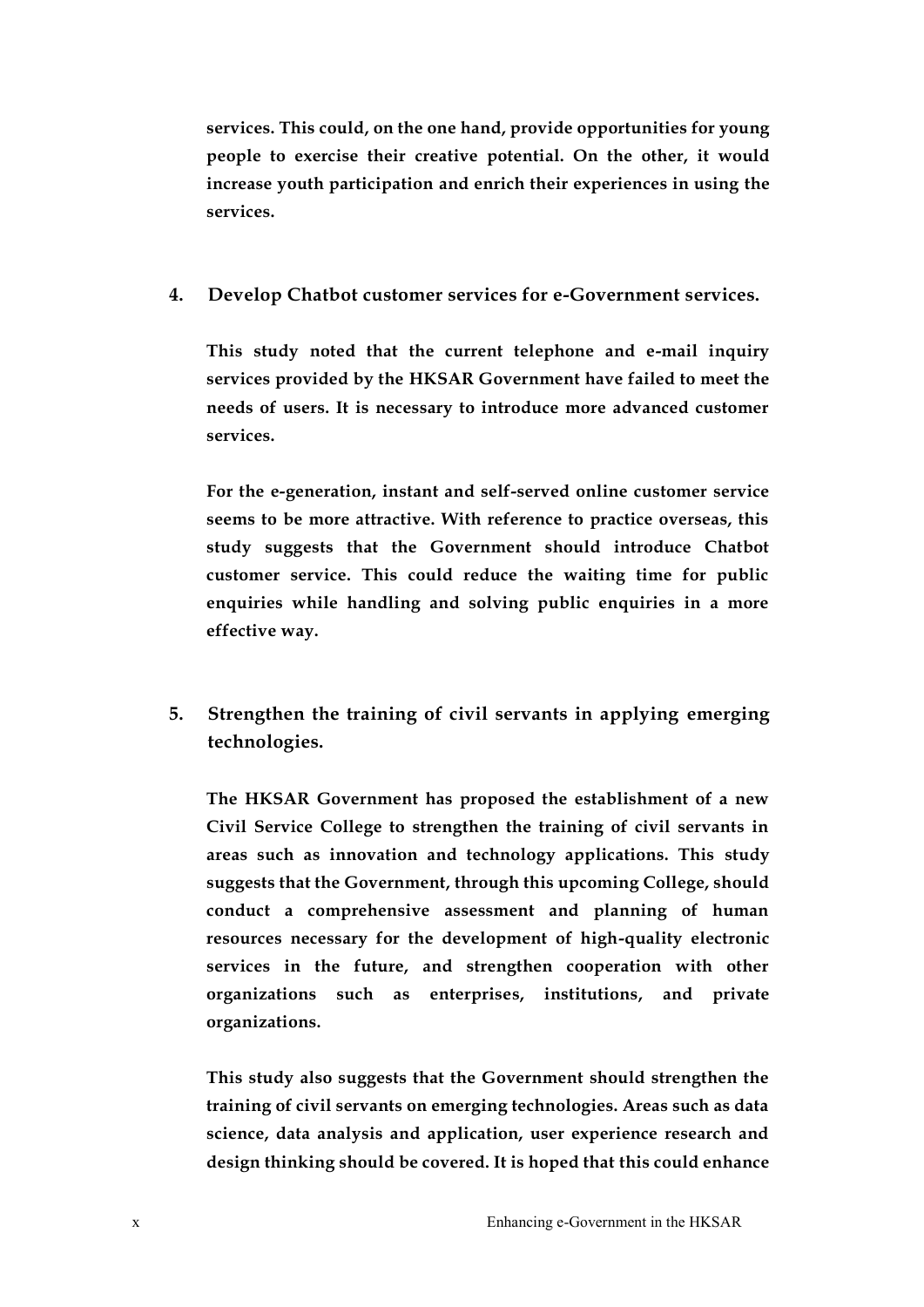**services. This could, on the one hand, provide opportunities for young people to exercise their creative potential. On the other, it would increase youth participation and enrich their experiences in using the services.**

## **4. Develop Chatbot customer services for e-Government services.**

**This study noted that the current telephone and e-mail inquiry services provided by the HKSAR Government have failed to meet the needs of users. It is necessary to introduce more advanced customer services.**

**For the e-generation, instant and self-served online customer service seems to be more attractive. With reference to practice overseas, this study suggests that the Government should introduce Chatbot customer service. This could reduce the waiting time for public enquiries while handling and solving public enquiries in a more effective way.**

**5. Strengthen the training of civil servants in applying emerging technologies.**

**The HKSAR Government has proposed the establishment of a new Civil Service College to strengthen the training of civil servants in areas such as innovation and technology applications. This study suggests that the Government, through this upcoming College, should conduct a comprehensive assessment and planning of human resources necessary for the development of high-quality electronic services in the future, and strengthen cooperation with other organizations such as enterprises, institutions, and private organizations.** 

**This study also suggests that the Government should strengthen the training of civil servants on emerging technologies. Areas such as data science, data analysis and application, user experience research and design thinking should be covered. It is hoped that this could enhance**